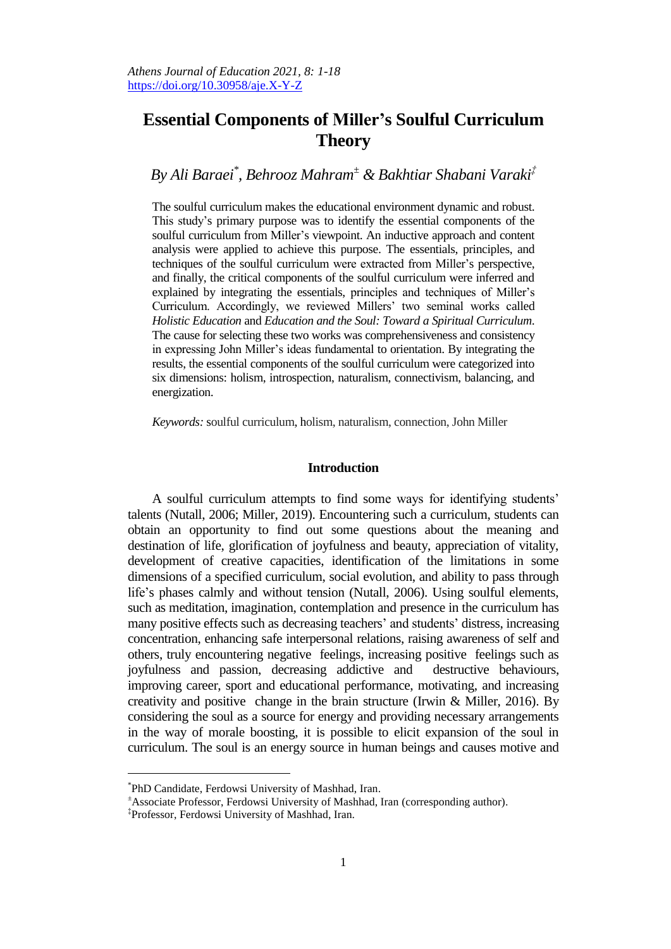# **Essential Components of Miller's Soulful Curriculum Theory**

# *By Ali Baraei\* , Behrooz Mahram<sup>±</sup> & Bakhtiar Shabani Varaki‡*

The soulful curriculum makes the educational environment dynamic and robust. This study's primary purpose was to identify the essential components of the soulful curriculum from Miller's viewpoint. An inductive approach and content analysis were applied to achieve this purpose. The essentials, principles, and techniques of the soulful curriculum were extracted from Miller's perspective, and finally, the critical components of the soulful curriculum were inferred and explained by integrating the essentials, principles and techniques of Miller's Curriculum. Accordingly, we reviewed Millers' two seminal works called *Holistic Education* and *Education and the Soul: Toward a Spiritual Curriculum*. The cause for selecting these two works was comprehensiveness and consistency in expressing John Miller's ideas fundamental to orientation. By integrating the results, the essential components of the soulful curriculum were categorized into six dimensions: holism, introspection, naturalism, connectivism, balancing, and energization.

*Keywords:* soulful curriculum, holism, naturalism, connection, John Miller

## **Introduction**

A soulful curriculum attempts to find some ways for identifying students' talents (Nutall, 2006; Miller, 2019). Encountering such a curriculum, students can obtain an opportunity to find out some questions about the meaning and destination of life, glorification of joyfulness and beauty, appreciation of vitality, development of creative capacities, identification of the limitations in some dimensions of a specified curriculum, social evolution, and ability to pass through life's phases calmly and without tension (Nutall, 2006). Using soulful elements, such as meditation, imagination, contemplation and presence in the curriculum has many positive effects such as decreasing teachers' and students' distress, increasing concentration, enhancing safe interpersonal relations, raising awareness of self and others, truly encountering negative feelings, increasing positive feelings such as joyfulness and passion, decreasing addictive and destructive behaviours, improving career, sport and educational performance, motivating, and increasing creativity and positive change in the brain structure (Irwin & Miller, 2016). By considering the soul as a source for energy and providing necessary arrangements in the way of morale boosting, it is possible to elicit expansion of the soul in curriculum. The soul is an energy source in human beings and causes motive and

 $\overline{a}$ 

<sup>\*</sup> PhD Candidate, Ferdowsi University of Mashhad, Iran.

<sup>±</sup>Associate Professor, Ferdowsi University of Mashhad, Iran (corresponding author).

<sup>‡</sup> Professor, Ferdowsi University of Mashhad, Iran.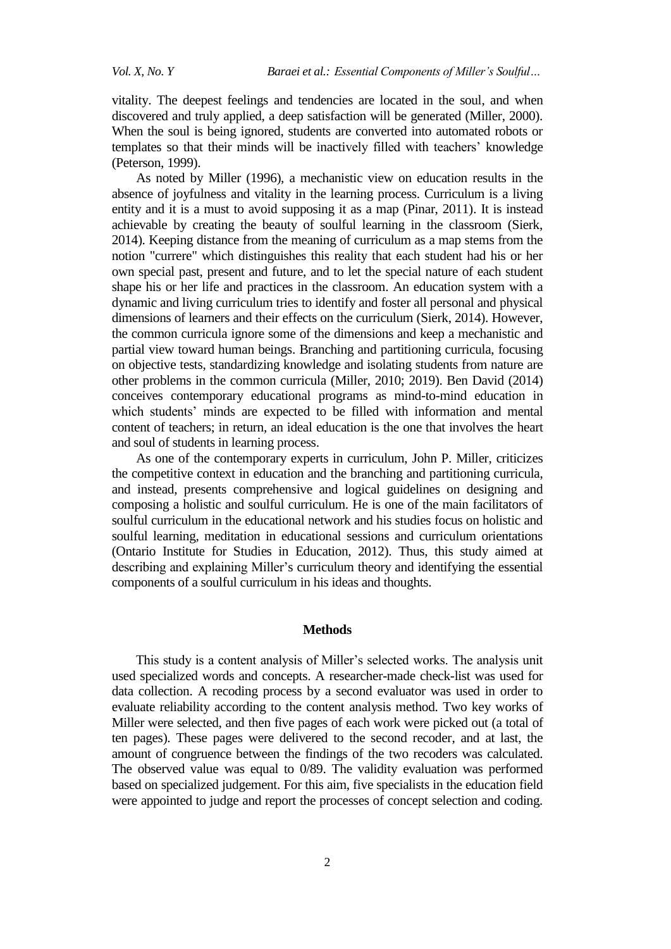vitality. The deepest feelings and tendencies are located in the soul, and when discovered and truly applied, a deep satisfaction will be generated (Miller, 2000). When the soul is being ignored, students are converted into automated robots or templates so that their minds will be inactively filled with teachers' knowledge (Peterson, 1999).

As noted by Miller (1996), a mechanistic view on education results in the absence of joyfulness and vitality in the learning process. Curriculum is a living entity and it is a must to avoid supposing it as a map (Pinar, 2011). It is instead achievable by creating the beauty of soulful learning in the classroom (Sierk, 2014). Keeping distance from the meaning of curriculum as a map stems from the notion "currere" which distinguishes this reality that each student had his or her own special past, present and future, and to let the special nature of each student shape his or her life and practices in the classroom. An education system with a dynamic and living curriculum tries to identify and foster all personal and physical dimensions of learners and their effects on the curriculum (Sierk, 2014). However, the common curricula ignore some of the dimensions and keep a mechanistic and partial view toward human beings. Branching and partitioning curricula, focusing on objective tests, standardizing knowledge and isolating students from nature are other problems in the common curricula (Miller, 2010; 2019). Ben David (2014) conceives contemporary educational programs as mind-to-mind education in which students' minds are expected to be filled with information and mental content of teachers; in return, an ideal education is the one that involves the heart and soul of students in learning process.

As one of the contemporary experts in curriculum, John P. Miller, criticizes the competitive context in education and the branching and partitioning curricula, and instead, presents comprehensive and logical guidelines on designing and composing a holistic and soulful curriculum. He is one of the main facilitators of soulful curriculum in the educational network and his studies focus on holistic and soulful learning, meditation in educational sessions and curriculum orientations (Ontario Institute for Studies in Education, 2012). Thus, this study aimed at describing and explaining Miller's curriculum theory and identifying the essential components of a soulful curriculum in his ideas and thoughts.

#### **Methods**

This study is a content analysis of Miller's selected works. The analysis unit used specialized words and concepts. A researcher-made check-list was used for data collection. A recoding process by a second evaluator was used in order to evaluate reliability according to the content analysis method. Two key works of Miller were selected, and then five pages of each work were picked out (a total of ten pages). These pages were delivered to the second recoder, and at last, the amount of congruence between the findings of the two recoders was calculated. The observed value was equal to 0/89. The validity evaluation was performed based on specialized judgement. For this aim, five specialists in the education field were appointed to judge and report the processes of concept selection and coding.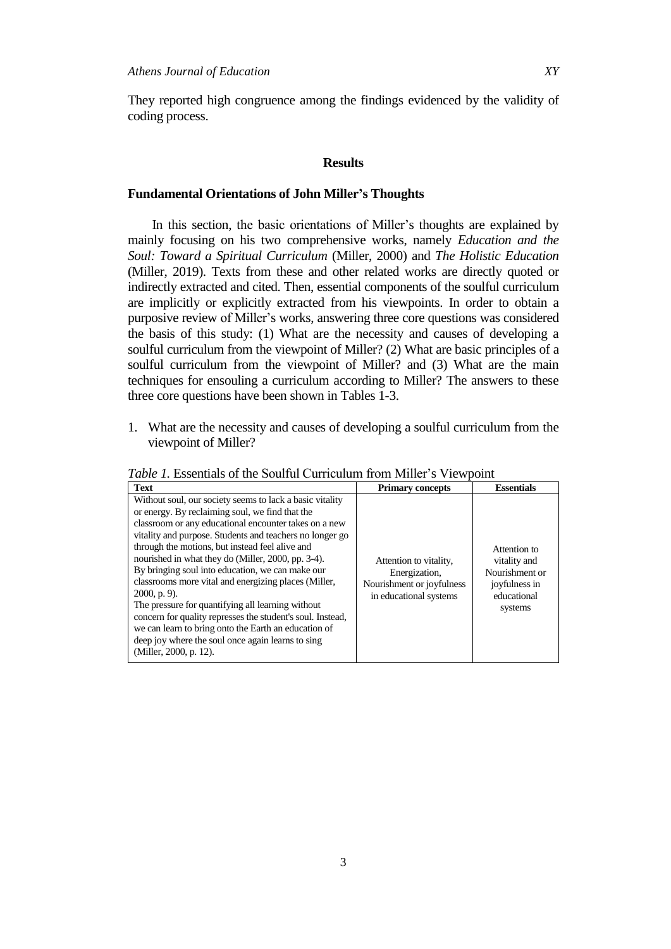They reported high congruence among the findings evidenced by the validity of coding process.

#### **Results**

## **Fundamental Orientations of John Miller's Thoughts**

In this section, the basic orientations of Miller's thoughts are explained by mainly focusing on his two comprehensive works, namely *Education and the Soul: Toward a Spiritual Curriculum* (Miller, 2000) and *The Holistic Education* (Miller, 2019). Texts from these and other related works are directly quoted or indirectly extracted and cited. Then, essential components of the soulful curriculum are implicitly or explicitly extracted from his viewpoints. In order to obtain a purposive review of Miller's works, answering three core questions was considered the basis of this study: (1) What are the necessity and causes of developing a soulful curriculum from the viewpoint of Miller? (2) What are basic principles of a soulful curriculum from the viewpoint of Miller? and (3) What are the main techniques for ensouling a curriculum according to Miller? The answers to these three core questions have been shown in Tables 1-3.

1. What are the necessity and causes of developing a soulful curriculum from the viewpoint of Miller?

| <b>Text</b>                                                                                                                                                                                                                                                                                                                                                                                                                                                                                                                                                                                                                                                                                                                        | <b>Primary concepts</b>                                                                        | <b>Essentials</b>                                                                         |
|------------------------------------------------------------------------------------------------------------------------------------------------------------------------------------------------------------------------------------------------------------------------------------------------------------------------------------------------------------------------------------------------------------------------------------------------------------------------------------------------------------------------------------------------------------------------------------------------------------------------------------------------------------------------------------------------------------------------------------|------------------------------------------------------------------------------------------------|-------------------------------------------------------------------------------------------|
| Without soul, our society seems to lack a basic vitality<br>or energy. By reclaiming soul, we find that the<br>classroom or any educational encounter takes on a new<br>vitality and purpose. Students and teachers no longer go<br>through the motions, but instead feel alive and<br>nourished in what they do (Miller, 2000, pp. 3-4).<br>By bringing soul into education, we can make our<br>classrooms more vital and energizing places (Miller,<br>$2000$ , p. 9).<br>The pressure for quantifying all learning without<br>concern for quality represses the student's soul. Instead,<br>we can learn to bring onto the Earth an education of<br>deep joy where the soul once again learns to sing<br>(Miller, 2000, p. 12). | Attention to vitality,<br>Energization,<br>Nourishment or joyfulness<br>in educational systems | Attention to<br>vitality and<br>Nourishment or<br>joyfulness in<br>educational<br>systems |

*Table 1.* Essentials of the Soulful Curriculum from Miller's Viewpoint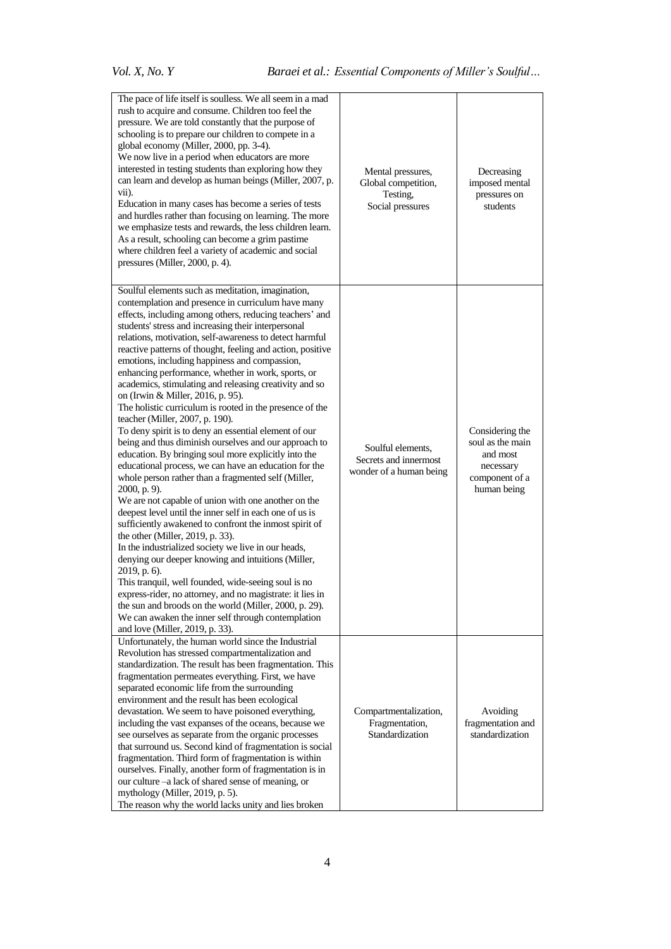| The pace of life itself is soulless. We all seem in a mad<br>rush to acquire and consume. Children too feel the<br>pressure. We are told constantly that the purpose of<br>schooling is to prepare our children to compete in a<br>global economy (Miller, 2000, pp. 3-4).<br>We now live in a period when educators are more<br>interested in testing students than exploring how they<br>can learn and develop as human beings (Miller, 2007, p.<br>$vii)$ .<br>Education in many cases has become a series of tests<br>and hurdles rather than focusing on learning. The more                                                                                                                                                                                                                                                                                                                                                                                                                                                                                                                                                                                                                                                                                                                                                                                                                                                                                                                                                                                                      | Mental pressures,<br>Global competition,<br>Testing,<br>Social pressures | Decreasing<br>imposed mental<br>pressures on<br>students                                      |
|---------------------------------------------------------------------------------------------------------------------------------------------------------------------------------------------------------------------------------------------------------------------------------------------------------------------------------------------------------------------------------------------------------------------------------------------------------------------------------------------------------------------------------------------------------------------------------------------------------------------------------------------------------------------------------------------------------------------------------------------------------------------------------------------------------------------------------------------------------------------------------------------------------------------------------------------------------------------------------------------------------------------------------------------------------------------------------------------------------------------------------------------------------------------------------------------------------------------------------------------------------------------------------------------------------------------------------------------------------------------------------------------------------------------------------------------------------------------------------------------------------------------------------------------------------------------------------------|--------------------------------------------------------------------------|-----------------------------------------------------------------------------------------------|
| we emphasize tests and rewards, the less children learn.<br>As a result, schooling can become a grim pastime<br>where children feel a variety of academic and social<br>pressures (Miller, 2000, p. 4).                                                                                                                                                                                                                                                                                                                                                                                                                                                                                                                                                                                                                                                                                                                                                                                                                                                                                                                                                                                                                                                                                                                                                                                                                                                                                                                                                                               |                                                                          |                                                                                               |
| Soulful elements such as meditation, imagination,<br>contemplation and presence in curriculum have many<br>effects, including among others, reducing teachers' and<br>students' stress and increasing their interpersonal<br>relations, motivation, self-awareness to detect harmful<br>reactive patterns of thought, feeling and action, positive<br>emotions, including happiness and compassion,<br>enhancing performance, whether in work, sports, or<br>academics, stimulating and releasing creativity and so<br>on (Irwin & Miller, 2016, p. 95).<br>The holistic curriculum is rooted in the presence of the<br>teacher (Miller, 2007, p. 190).<br>To deny spirit is to deny an essential element of our<br>being and thus diminish ourselves and our approach to<br>education. By bringing soul more explicitly into the<br>educational process, we can have an education for the<br>whole person rather than a fragmented self (Miller,<br>2000, p. 9).<br>We are not capable of union with one another on the<br>deepest level until the inner self in each one of us is<br>sufficiently awakened to confront the inmost spirit of<br>the other (Miller, 2019, p. 33).<br>In the industrialized society we live in our heads,<br>denying our deeper knowing and intuitions (Miller,<br>2019, p. 6).<br>This tranquil, well founded, wide-seeing soul is no<br>express-rider, no attorney, and no magistrate: it lies in<br>the sun and broods on the world (Miller, 2000, p. 29).<br>We can awaken the inner self through contemplation<br>and love (Miller, 2019, p. 33). | Soulful elements,<br>Secrets and innermost<br>wonder of a human being    | Considering the<br>soul as the main<br>and most<br>necessary<br>component of a<br>human being |
| Unfortunately, the human world since the Industrial<br>Revolution has stressed compartmentalization and<br>standardization. The result has been fragmentation. This<br>fragmentation permeates everything. First, we have<br>separated economic life from the surrounding<br>environment and the result has been ecological<br>devastation. We seem to have poisoned everything,<br>including the vast expanses of the oceans, because we<br>see ourselves as separate from the organic processes<br>that surround us. Second kind of fragmentation is social<br>fragmentation. Third form of fragmentation is within<br>ourselves. Finally, another form of fragmentation is in<br>our culture -- a lack of shared sense of meaning, or<br>mythology (Miller, 2019, p. 5).<br>The reason why the world lacks unity and lies broken                                                                                                                                                                                                                                                                                                                                                                                                                                                                                                                                                                                                                                                                                                                                                   | Compartmentalization,<br>Fragmentation,<br>Standardization               | Avoiding<br>fragmentation and<br>standardization                                              |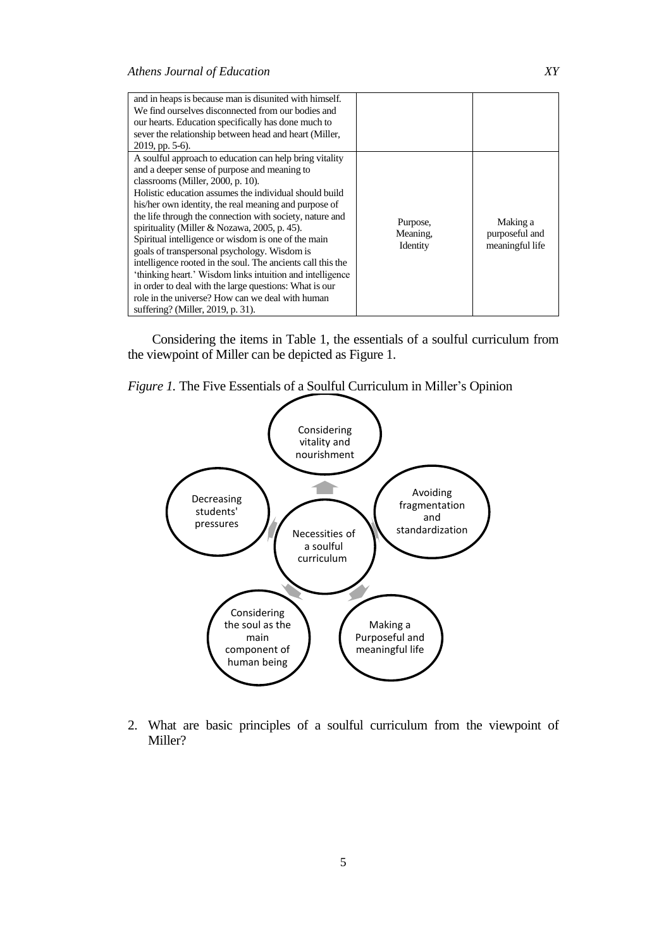| and in heaps is because man is disunited with himself.<br>We find ourselves disconnected from our bodies and<br>our hearts. Education specifically has done much to<br>sever the relationship between head and heart (Miller,<br>$2019$ , pp. 5-6).                                                                                                                                                                                                                                                                                                                                                                                                                                                                                                               |                                  |                                               |
|-------------------------------------------------------------------------------------------------------------------------------------------------------------------------------------------------------------------------------------------------------------------------------------------------------------------------------------------------------------------------------------------------------------------------------------------------------------------------------------------------------------------------------------------------------------------------------------------------------------------------------------------------------------------------------------------------------------------------------------------------------------------|----------------------------------|-----------------------------------------------|
| A soulful approach to education can help bring vitality<br>and a deeper sense of purpose and meaning to<br>classrooms (Miller, 2000, p. 10).<br>Holistic education assumes the individual should build<br>his/her own identity, the real meaning and purpose of<br>the life through the connection with society, nature and<br>spirituality (Miller & Nozawa, 2005, p. 45).<br>Spiritual intelligence or wisdom is one of the main<br>goals of transpersonal psychology. Wisdom is<br>intelligence rooted in the soul. The ancients call this the<br>'thinking heart.' Wisdom links intuition and intelligence<br>in order to deal with the large questions: What is our<br>role in the universe? How can we deal with human<br>suffering? (Miller, 2019, p. 31). | Purpose,<br>Meaning,<br>Identity | Making a<br>purposeful and<br>meaningful life |

Considering the items in Table 1, the essentials of a soulful curriculum from the viewpoint of Miller can be depicted as Figure 1.





2. What are basic principles of a soulful curriculum from the viewpoint of Miller?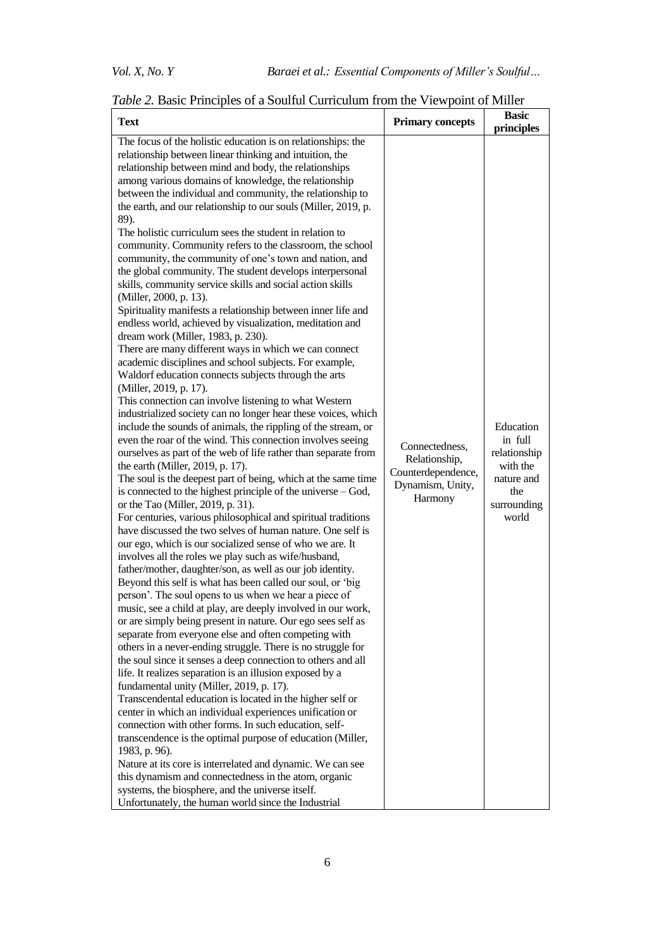| <b>Text</b>                                                                                                                                                                                                                                                                                                                                                                                                                                                                                                                                                                                                                                                                                                                                                                                                                                                                                                                                                                                                                                                                                                                                                                                                                                                                                                                                                                                                                                                                                                                                                                                                                                                                                                                                                                                                                                                                                                                                                                                                                                                                                                                                                                                                                                                                                                                                                                                                                                                                                                                                                                                                                                                                                                                                                                                                                                                                                                                                                                                            | <b>Primary concepts</b>                                                              | <b>Basic</b><br>principles                                                                    |
|--------------------------------------------------------------------------------------------------------------------------------------------------------------------------------------------------------------------------------------------------------------------------------------------------------------------------------------------------------------------------------------------------------------------------------------------------------------------------------------------------------------------------------------------------------------------------------------------------------------------------------------------------------------------------------------------------------------------------------------------------------------------------------------------------------------------------------------------------------------------------------------------------------------------------------------------------------------------------------------------------------------------------------------------------------------------------------------------------------------------------------------------------------------------------------------------------------------------------------------------------------------------------------------------------------------------------------------------------------------------------------------------------------------------------------------------------------------------------------------------------------------------------------------------------------------------------------------------------------------------------------------------------------------------------------------------------------------------------------------------------------------------------------------------------------------------------------------------------------------------------------------------------------------------------------------------------------------------------------------------------------------------------------------------------------------------------------------------------------------------------------------------------------------------------------------------------------------------------------------------------------------------------------------------------------------------------------------------------------------------------------------------------------------------------------------------------------------------------------------------------------------------------------------------------------------------------------------------------------------------------------------------------------------------------------------------------------------------------------------------------------------------------------------------------------------------------------------------------------------------------------------------------------------------------------------------------------------------------------------------------------|--------------------------------------------------------------------------------------|-----------------------------------------------------------------------------------------------|
| The focus of the holistic education is on relationships: the<br>relationship between linear thinking and intuition, the<br>relationship between mind and body, the relationships<br>among various domains of knowledge, the relationship<br>between the individual and community, the relationship to<br>the earth, and our relationship to our souls (Miller, 2019, p.<br>89).<br>The holistic curriculum sees the student in relation to<br>community. Community refers to the classroom, the school<br>community, the community of one's town and nation, and<br>the global community. The student develops interpersonal<br>skills, community service skills and social action skills<br>(Miller, 2000, p. 13).<br>Spirituality manifests a relationship between inner life and<br>endless world, achieved by visualization, meditation and<br>dream work (Miller, 1983, p. 230).<br>There are many different ways in which we can connect<br>academic disciplines and school subjects. For example,<br>Waldorf education connects subjects through the arts<br>(Miller, 2019, p. 17).<br>This connection can involve listening to what Western<br>industrialized society can no longer hear these voices, which<br>include the sounds of animals, the rippling of the stream, or<br>even the roar of the wind. This connection involves seeing<br>ourselves as part of the web of life rather than separate from<br>the earth (Miller, 2019, p. 17).<br>The soul is the deepest part of being, which at the same time<br>is connected to the highest principle of the universe – God,<br>or the Tao (Miller, 2019, p. 31).<br>For centuries, various philosophical and spiritual traditions<br>have discussed the two selves of human nature. One self is<br>our ego, which is our socialized sense of who we are. It<br>involves all the roles we play such as wife/husband,<br>father/mother, daughter/son, as well as our job identity.<br>Beyond this self is what has been called our soul, or 'big<br>person'. The soul opens to us when we hear a piece of<br>music, see a child at play, are deeply involved in our work,<br>or are simply being present in nature. Our ego sees self as<br>separate from everyone else and often competing with<br>others in a never-ending struggle. There is no struggle for<br>the soul since it senses a deep connection to others and all<br>life. It realizes separation is an illusion exposed by a<br>fundamental unity (Miller, 2019, p. 17).<br>Transcendental education is located in the higher self or<br>center in which an individual experiences unification or<br>connection with other forms. In such education, self-<br>transcendence is the optimal purpose of education (Miller,<br>1983, p. 96).<br>Nature at its core is interrelated and dynamic. We can see<br>this dynamism and connectedness in the atom, organic<br>systems, the biosphere, and the universe itself.<br>Unfortunately, the human world since the Industrial | Connectedness,<br>Relationship,<br>Counterdependence,<br>Dynamism, Unity,<br>Harmony | Education<br>in full<br>relationship<br>with the<br>nature and<br>the<br>surrounding<br>world |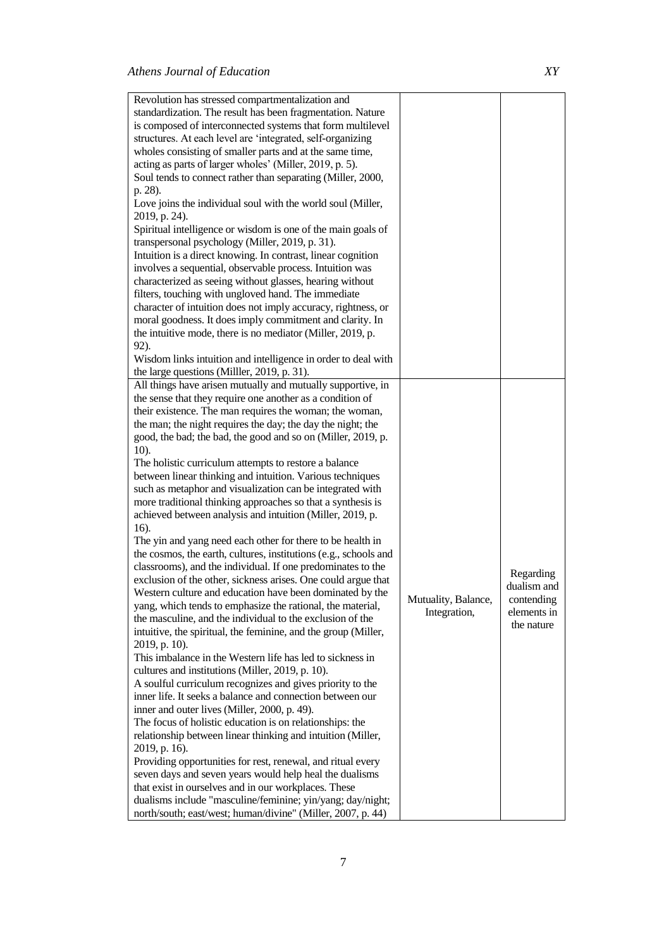| Revolution has stressed compartmentalization and                 |                     |             |
|------------------------------------------------------------------|---------------------|-------------|
| standardization. The result has been fragmentation. Nature       |                     |             |
| is composed of interconnected systems that form multilevel       |                     |             |
| structures. At each level are 'integrated, self-organizing       |                     |             |
| wholes consisting of smaller parts and at the same time,         |                     |             |
| acting as parts of larger wholes' (Miller, 2019, p. 5).          |                     |             |
|                                                                  |                     |             |
| Soul tends to connect rather than separating (Miller, 2000,      |                     |             |
| p. 28).                                                          |                     |             |
| Love joins the individual soul with the world soul (Miller,      |                     |             |
| 2019, p. 24).                                                    |                     |             |
| Spiritual intelligence or wisdom is one of the main goals of     |                     |             |
| transpersonal psychology (Miller, 2019, p. 31).                  |                     |             |
| Intuition is a direct knowing. In contrast, linear cognition     |                     |             |
| involves a sequential, observable process. Intuition was         |                     |             |
| characterized as seeing without glasses, hearing without         |                     |             |
| filters, touching with ungloved hand. The immediate              |                     |             |
| character of intuition does not imply accuracy, rightness, or    |                     |             |
| moral goodness. It does imply commitment and clarity. In         |                     |             |
| the intuitive mode, there is no mediator (Miller, 2019, p.       |                     |             |
| 92).                                                             |                     |             |
| Wisdom links intuition and intelligence in order to deal with    |                     |             |
| the large questions (Miller, 2019, p. 31).                       |                     |             |
| All things have arisen mutually and mutually supportive, in      |                     |             |
|                                                                  |                     |             |
| the sense that they require one another as a condition of        |                     |             |
| their existence. The man requires the woman; the woman,          |                     |             |
| the man; the night requires the day; the day the night; the      |                     |             |
| good, the bad; the bad, the good and so on (Miller, 2019, p.     |                     |             |
| $10$ ).                                                          |                     |             |
| The holistic curriculum attempts to restore a balance            |                     |             |
| between linear thinking and intuition. Various techniques        |                     |             |
| such as metaphor and visualization can be integrated with        |                     |             |
| more traditional thinking approaches so that a synthesis is      |                     |             |
| achieved between analysis and intuition (Miller, 2019, p.        |                     |             |
| 16).                                                             |                     |             |
| The yin and yang need each other for there to be health in       |                     |             |
| the cosmos, the earth, cultures, institutions (e.g., schools and |                     |             |
| classrooms), and the individual. If one predominates to the      |                     |             |
| exclusion of the other, sickness arises. One could argue that    |                     | Regarding   |
| Western culture and education have been dominated by the         |                     | dualism and |
| yang, which tends to emphasize the rational, the material,       | Mutuality, Balance, | contending  |
| the masculine, and the individual to the exclusion of the        | Integration,        | elements in |
| intuitive, the spiritual, the feminine, and the group (Miller,   |                     | the nature  |
| 2019, p. 10).                                                    |                     |             |
| This imbalance in the Western life has led to sickness in        |                     |             |
| cultures and institutions (Miller, 2019, p. 10).                 |                     |             |
| A soulful curriculum recognizes and gives priority to the        |                     |             |
| inner life. It seeks a balance and connection between our        |                     |             |
|                                                                  |                     |             |
| inner and outer lives (Miller, 2000, p. 49).                     |                     |             |
| The focus of holistic education is on relationships: the         |                     |             |
| relationship between linear thinking and intuition (Miller,      |                     |             |
| 2019, p. 16).                                                    |                     |             |
| Providing opportunities for rest, renewal, and ritual every      |                     |             |
| seven days and seven years would help heal the dualisms          |                     |             |
| that exist in ourselves and in our workplaces. These             |                     |             |
| dualisms include "masculine/feminine; yin/yang; day/night;       |                     |             |
| north/south; east/west; human/divine" (Miller, 2007, p. 44)      |                     |             |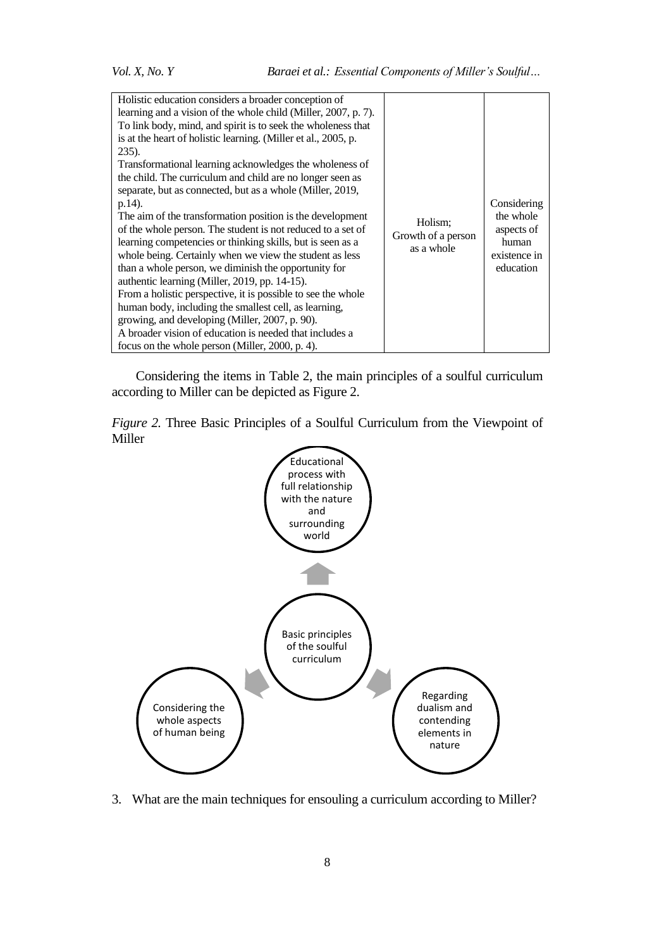| Holistic education considers a broader conception of<br>learning and a vision of the whole child (Miller, 2007, p. 7).<br>To link body, mind, and spirit is to seek the wholeness that<br>is at the heart of holistic learning. (Miller et al., 2005, p.<br>$235$ ).<br>Transformational learning acknowledges the wholeness of<br>the child. The curriculum and child are no longer seen as<br>separate, but as connected, but as a whole (Miller, 2019,<br>p.14).<br>The aim of the transformation position is the development<br>of the whole person. The student is not reduced to a set of<br>learning competencies or thinking skills, but is seen as a<br>whole being. Certainly when we view the student as less<br>than a whole person, we diminish the opportunity for<br>authentic learning (Miller, 2019, pp. 14-15).<br>From a holistic perspective, it is possible to see the whole<br>human body, including the smallest cell, as learning,<br>growing, and developing (Miller, 2007, p. 90).<br>A broader vision of education is needed that includes a<br>focus on the whole person (Miller, 2000, p. 4). | Holism:<br>Growth of a person<br>as a whole | Considering<br>the whole<br>aspects of<br>human<br>existence in<br>education |
|----------------------------------------------------------------------------------------------------------------------------------------------------------------------------------------------------------------------------------------------------------------------------------------------------------------------------------------------------------------------------------------------------------------------------------------------------------------------------------------------------------------------------------------------------------------------------------------------------------------------------------------------------------------------------------------------------------------------------------------------------------------------------------------------------------------------------------------------------------------------------------------------------------------------------------------------------------------------------------------------------------------------------------------------------------------------------------------------------------------------------|---------------------------------------------|------------------------------------------------------------------------------|
|----------------------------------------------------------------------------------------------------------------------------------------------------------------------------------------------------------------------------------------------------------------------------------------------------------------------------------------------------------------------------------------------------------------------------------------------------------------------------------------------------------------------------------------------------------------------------------------------------------------------------------------------------------------------------------------------------------------------------------------------------------------------------------------------------------------------------------------------------------------------------------------------------------------------------------------------------------------------------------------------------------------------------------------------------------------------------------------------------------------------------|---------------------------------------------|------------------------------------------------------------------------------|

Considering the items in Table 2, the main principles of a soulful curriculum according to Miller can be depicted as Figure 2.

*Figure 2.* Three Basic Principles of a Soulful Curriculum from the Viewpoint of Miller



3. What are the main techniques for ensouling a curriculum according to Miller?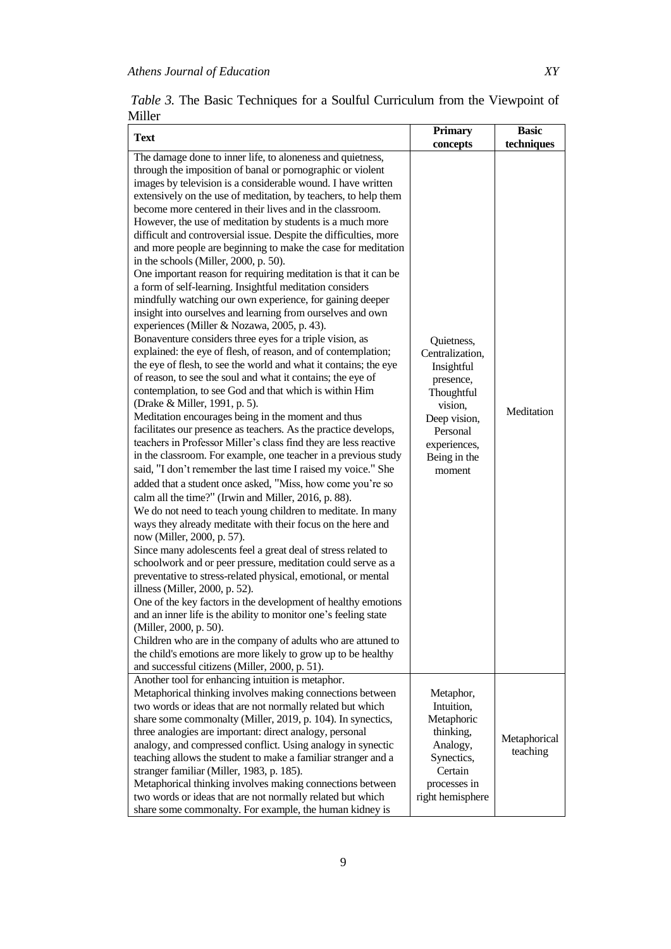| <b>Text</b>                                                                                                                                                                                                                                                                                                                                                                                                                                                                                                                                                                                                                                                                                                                                                                                                                                                                                                                                                                                                                                                                                                                                                                                                                                                                                                                                                                                                                                                                                                                                                                                                                                                                                                                                                                                                                                                                                                                                                                                                                                                                                                                                                                                                                                                                                                                                                                                                                                     | Primary                                                                                                                                                             | <b>Basic</b>             |
|-------------------------------------------------------------------------------------------------------------------------------------------------------------------------------------------------------------------------------------------------------------------------------------------------------------------------------------------------------------------------------------------------------------------------------------------------------------------------------------------------------------------------------------------------------------------------------------------------------------------------------------------------------------------------------------------------------------------------------------------------------------------------------------------------------------------------------------------------------------------------------------------------------------------------------------------------------------------------------------------------------------------------------------------------------------------------------------------------------------------------------------------------------------------------------------------------------------------------------------------------------------------------------------------------------------------------------------------------------------------------------------------------------------------------------------------------------------------------------------------------------------------------------------------------------------------------------------------------------------------------------------------------------------------------------------------------------------------------------------------------------------------------------------------------------------------------------------------------------------------------------------------------------------------------------------------------------------------------------------------------------------------------------------------------------------------------------------------------------------------------------------------------------------------------------------------------------------------------------------------------------------------------------------------------------------------------------------------------------------------------------------------------------------------------------------------------|---------------------------------------------------------------------------------------------------------------------------------------------------------------------|--------------------------|
| The damage done to inner life, to aloneness and quietness,<br>through the imposition of banal or pornographic or violent<br>images by television is a considerable wound. I have written<br>extensively on the use of meditation, by teachers, to help them<br>become more centered in their lives and in the classroom.<br>However, the use of meditation by students is a much more<br>difficult and controversial issue. Despite the difficulties, more<br>and more people are beginning to make the case for meditation<br>in the schools (Miller, 2000, p. 50).<br>One important reason for requiring meditation is that it can be<br>a form of self-learning. Insightful meditation considers<br>mindfully watching our own experience, for gaining deeper<br>insight into ourselves and learning from ourselves and own<br>experiences (Miller & Nozawa, 2005, p. 43).<br>Bonaventure considers three eyes for a triple vision, as<br>explained: the eye of flesh, of reason, and of contemplation;<br>the eye of flesh, to see the world and what it contains; the eye<br>of reason, to see the soul and what it contains; the eye of<br>contemplation, to see God and that which is within Him<br>(Drake & Miller, 1991, p. 5).<br>Meditation encourages being in the moment and thus<br>facilitates our presence as teachers. As the practice develops,<br>teachers in Professor Miller's class find they are less reactive<br>in the classroom. For example, one teacher in a previous study<br>said, "I don't remember the last time I raised my voice." She<br>added that a student once asked, "Miss, how come you're so<br>calm all the time?" (Irwin and Miller, 2016, p. 88).<br>We do not need to teach young children to meditate. In many<br>ways they already meditate with their focus on the here and<br>now (Miller, 2000, p. 57).<br>Since many adolescents feel a great deal of stress related to<br>schoolwork and or peer pressure, meditation could serve as a<br>preventative to stress-related physical, emotional, or mental<br>illness (Miller, 2000, p. 52).<br>One of the key factors in the development of healthy emotions<br>and an inner life is the ability to monitor one's feeling state<br>(Miller, 2000, p. 50).<br>Children who are in the company of adults who are attuned to<br>the child's emotions are more likely to grow up to be healthy<br>and successful citizens (Miller, 2000, p. 51). | concepts<br>Quietness,<br>Centralization,<br>Insightful<br>presence,<br>Thoughtful<br>vision,<br>Deep vision,<br>Personal<br>experiences,<br>Being in the<br>moment | techniques<br>Meditation |
| Another tool for enhancing intuition is metaphor.<br>Metaphorical thinking involves making connections between<br>two words or ideas that are not normally related but which<br>share some commonalty (Miller, 2019, p. 104). In synectics,<br>three analogies are important: direct analogy, personal<br>analogy, and compressed conflict. Using analogy in synectic<br>teaching allows the student to make a familiar stranger and a<br>stranger familiar (Miller, 1983, p. 185).<br>Metaphorical thinking involves making connections between<br>two words or ideas that are not normally related but which<br>share some commonalty. For example, the human kidney is                                                                                                                                                                                                                                                                                                                                                                                                                                                                                                                                                                                                                                                                                                                                                                                                                                                                                                                                                                                                                                                                                                                                                                                                                                                                                                                                                                                                                                                                                                                                                                                                                                                                                                                                                                       | Metaphor,<br>Intuition,<br>Metaphoric<br>thinking,<br>Analogy,<br>Synectics,<br>Certain<br>processes in<br>right hemisphere                                         | Metaphorical<br>teaching |

*Table 3.* The Basic Techniques for a Soulful Curriculum from the Viewpoint of Miller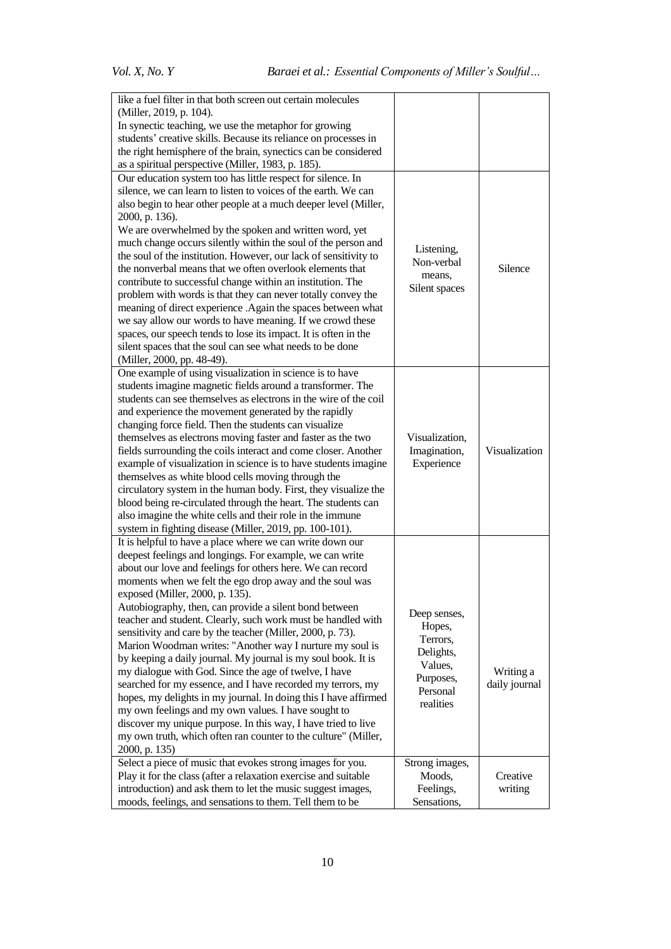| like a fuel filter in that both screen out certain molecules                                                                   |                          |               |
|--------------------------------------------------------------------------------------------------------------------------------|--------------------------|---------------|
| (Miller, 2019, p. 104).                                                                                                        |                          |               |
| In synectic teaching, we use the metaphor for growing                                                                          |                          |               |
| students' creative skills. Because its reliance on processes in                                                                |                          |               |
| the right hemisphere of the brain, synectics can be considered                                                                 |                          |               |
| as a spiritual perspective (Miller, 1983, p. 185).                                                                             |                          |               |
| Our education system too has little respect for silence. In                                                                    |                          |               |
| silence, we can learn to listen to voices of the earth. We can                                                                 |                          |               |
| also begin to hear other people at a much deeper level (Miller,                                                                |                          |               |
| 2000, p. 136).                                                                                                                 |                          |               |
| We are overwhelmed by the spoken and written word, yet                                                                         |                          |               |
| much change occurs silently within the soul of the person and                                                                  |                          |               |
| the soul of the institution. However, our lack of sensitivity to                                                               | Listening,               |               |
| the nonverbal means that we often overlook elements that                                                                       | Non-verbal               | Silence       |
| contribute to successful change within an institution. The                                                                     | means,                   |               |
| problem with words is that they can never totally convey the                                                                   | Silent spaces            |               |
|                                                                                                                                |                          |               |
| meaning of direct experience .Again the spaces between what                                                                    |                          |               |
| we say allow our words to have meaning. If we crowd these                                                                      |                          |               |
| spaces, our speech tends to lose its impact. It is often in the                                                                |                          |               |
| silent spaces that the soul can see what needs to be done                                                                      |                          |               |
| (Miller, 2000, pp. 48-49).                                                                                                     |                          |               |
| One example of using visualization in science is to have                                                                       |                          |               |
| students imagine magnetic fields around a transformer. The<br>students can see themselves as electrons in the wire of the coil |                          |               |
|                                                                                                                                |                          |               |
| and experience the movement generated by the rapidly                                                                           |                          |               |
| changing force field. Then the students can visualize                                                                          |                          |               |
| themselves as electrons moving faster and faster as the two                                                                    | Visualization,           |               |
| fields surrounding the coils interact and come closer. Another                                                                 | Imagination,             | Visualization |
| example of visualization in science is to have students imagine                                                                | Experience               |               |
| themselves as white blood cells moving through the                                                                             |                          |               |
| circulatory system in the human body. First, they visualize the                                                                |                          |               |
| blood being re-circulated through the heart. The students can                                                                  |                          |               |
| also imagine the white cells and their role in the immune                                                                      |                          |               |
| system in fighting disease (Miller, 2019, pp. 100-101).                                                                        |                          |               |
| It is helpful to have a place where we can write down our                                                                      |                          |               |
| deepest feelings and longings. For example, we can write                                                                       |                          |               |
| about our love and feelings for others here. We can record                                                                     |                          |               |
| moments when we felt the ego drop away and the soul was                                                                        |                          |               |
| exposed (Miller, 2000, p. 135).                                                                                                |                          |               |
| Autobiography, then, can provide a silent bond between                                                                         | Deep senses,             |               |
| teacher and student. Clearly, such work must be handled with                                                                   | Hopes,                   |               |
| sensitivity and care by the teacher (Miller, 2000, p. 73).                                                                     | Terrors,                 |               |
| Marion Woodman writes: "Another way I nurture my soul is                                                                       | Delights,                |               |
| by keeping a daily journal. My journal is my soul book. It is                                                                  | Values,                  |               |
| my dialogue with God. Since the age of twelve, I have                                                                          | Purposes,                | Writing a     |
| searched for my essence, and I have recorded my terrors, my                                                                    | Personal                 | daily journal |
| hopes, my delights in my journal. In doing this I have affirmed                                                                | realities                |               |
| my own feelings and my own values. I have sought to                                                                            |                          |               |
| discover my unique purpose. In this way, I have tried to live                                                                  |                          |               |
| my own truth, which often ran counter to the culture" (Miller,                                                                 |                          |               |
| 2000, p. 135)                                                                                                                  |                          |               |
| Select a piece of music that evokes strong images for you.                                                                     | Strong images,           |               |
| Play it for the class (after a relaxation exercise and suitable                                                                | Moods,                   | Creative      |
| introduction) and ask them to let the music suggest images,                                                                    | Feelings,<br>Sensations, | writing       |
| moods, feelings, and sensations to them. Tell them to be                                                                       |                          |               |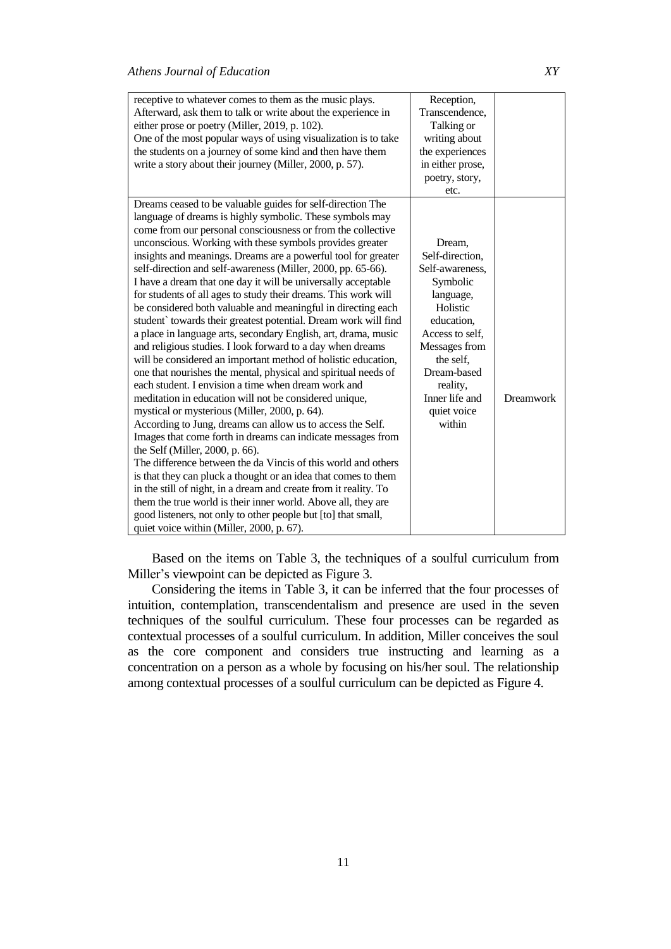| receptive to whatever comes to them as the music plays.<br>Afterward, ask them to talk or write about the experience in<br>either prose or poetry (Miller, 2019, p. 102).<br>One of the most popular ways of using visualization is to take<br>the students on a journey of some kind and then have them<br>write a story about their journey (Miller, 2000, p. 57).                                                                                                                                                                                                                                                                                                                                                                                                                                                                                                                                                                                                                                                                                                                                                                                                                                                                                                                                                                                                                                                                                                                                                                                                                                                                                | Reception,<br>Transcendence,<br>Talking or<br>writing about<br>the experiences<br>in either prose,<br>poetry, story,<br>etc.                                                                                           |                  |
|-----------------------------------------------------------------------------------------------------------------------------------------------------------------------------------------------------------------------------------------------------------------------------------------------------------------------------------------------------------------------------------------------------------------------------------------------------------------------------------------------------------------------------------------------------------------------------------------------------------------------------------------------------------------------------------------------------------------------------------------------------------------------------------------------------------------------------------------------------------------------------------------------------------------------------------------------------------------------------------------------------------------------------------------------------------------------------------------------------------------------------------------------------------------------------------------------------------------------------------------------------------------------------------------------------------------------------------------------------------------------------------------------------------------------------------------------------------------------------------------------------------------------------------------------------------------------------------------------------------------------------------------------------|------------------------------------------------------------------------------------------------------------------------------------------------------------------------------------------------------------------------|------------------|
| Dreams ceased to be valuable guides for self-direction The<br>language of dreams is highly symbolic. These symbols may<br>come from our personal consciousness or from the collective<br>unconscious. Working with these symbols provides greater<br>insights and meanings. Dreams are a powerful tool for greater<br>self-direction and self-awareness (Miller, 2000, pp. 65-66).<br>I have a dream that one day it will be universally acceptable<br>for students of all ages to study their dreams. This work will<br>be considered both valuable and meaningful in directing each<br>student` towards their greatest potential. Dream work will find<br>a place in language arts, secondary English, art, drama, music<br>and religious studies. I look forward to a day when dreams<br>will be considered an important method of holistic education,<br>one that nourishes the mental, physical and spiritual needs of<br>each student. I envision a time when dream work and<br>meditation in education will not be considered unique,<br>mystical or mysterious (Miller, 2000, p. 64).<br>According to Jung, dreams can allow us to access the Self.<br>Images that come forth in dreams can indicate messages from<br>the Self (Miller, 2000, p. 66).<br>The difference between the da Vincis of this world and others<br>is that they can pluck a thought or an idea that comes to them<br>in the still of night, in a dream and create from it reality. To<br>them the true world is their inner world. Above all, they are<br>good listeners, not only to other people but [to] that small,<br>quiet voice within (Miller, 2000, p. 67). | Dream,<br>Self-direction,<br>Self-awareness,<br>Symbolic<br>language,<br>Holistic<br>education,<br>Access to self,<br>Messages from<br>the self,<br>Dream-based<br>reality,<br>Inner life and<br>quiet voice<br>within | <b>Dreamwork</b> |

Based on the items on Table 3, the techniques of a soulful curriculum from Miller's viewpoint can be depicted as Figure 3.

Considering the items in Table 3, it can be inferred that the four processes of intuition, contemplation, transcendentalism and presence are used in the seven techniques of the soulful curriculum. These four processes can be regarded as contextual processes of a soulful curriculum. In addition, Miller conceives the soul as the core component and considers true instructing and learning as a concentration on a person as a whole by focusing on his/her soul. The relationship among contextual processes of a soulful curriculum can be depicted as Figure 4.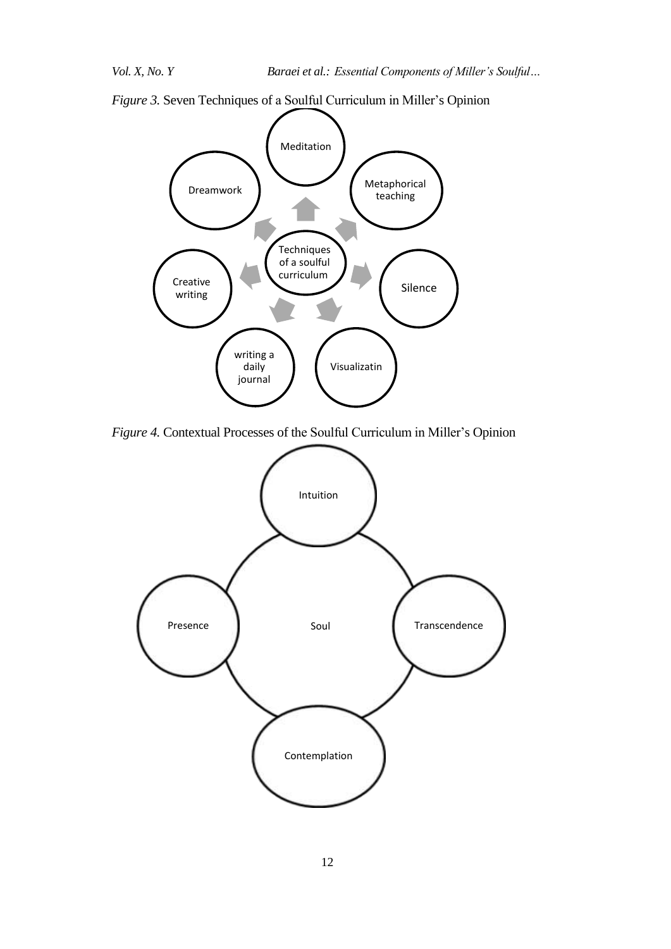

*Figure 3.* Seven Techniques of a Soulful Curriculum in Miller's Opinion

*Figure 4.* Contextual Processes of the Soulful Curriculum in Miller's Opinion

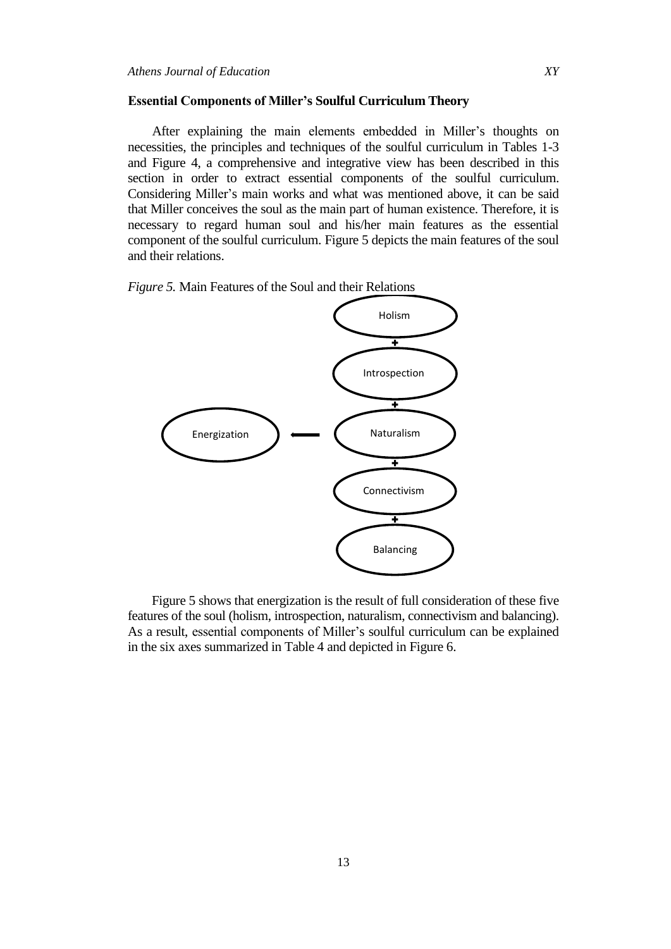#### **Essential Components of Miller's Soulful Curriculum Theory**

After explaining the main elements embedded in Miller's thoughts on necessities, the principles and techniques of the soulful curriculum in Tables 1-3 and Figure 4, a comprehensive and integrative view has been described in this section in order to extract essential components of the soulful curriculum. Considering Miller's main works and what was mentioned above, it can be said that Miller conceives the soul as the main part of human existence. Therefore, it is necessary to regard human soul and his/her main features as the essential component of the soulful curriculum. Figure 5 depicts the main features of the soul and their relations.

*Figure 5.* Main Features of the Soul and their Relations



Figure 5 shows that energization is the result of full consideration of these five features of the soul (holism, introspection, naturalism, connectivism and balancing). As a result, essential components of Miller's soulful curriculum can be explained in the six axes summarized in Table 4 and depicted in Figure 6.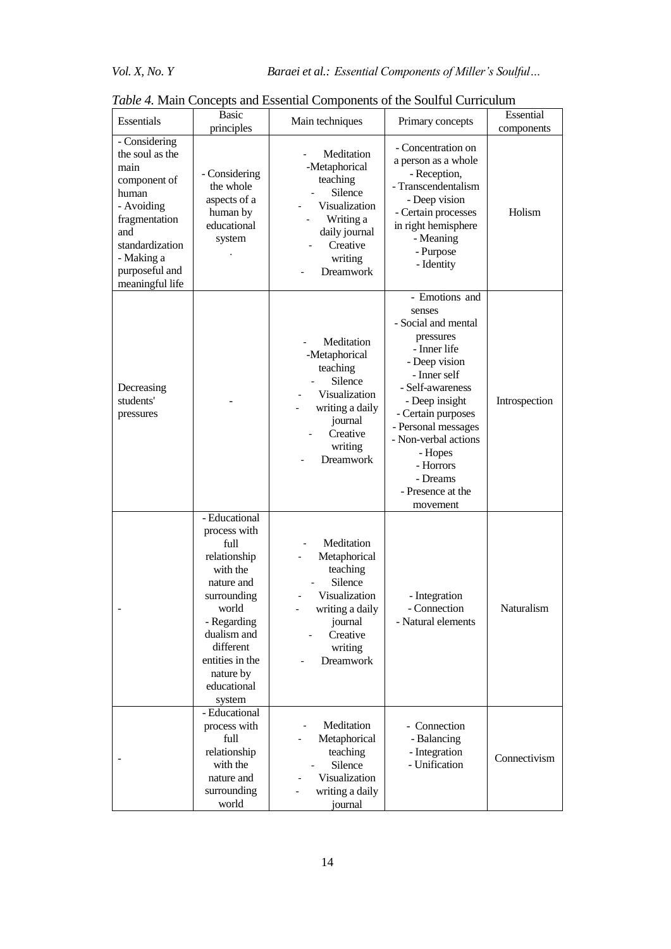| Essentials                                                                                                                                                                    | <b>Basic</b><br>principles                                                                                                                                                                                  | Main techniques                                                                                                                              | Primary concepts                                                                                                                                                                                                                                                                              | Essential<br>components |
|-------------------------------------------------------------------------------------------------------------------------------------------------------------------------------|-------------------------------------------------------------------------------------------------------------------------------------------------------------------------------------------------------------|----------------------------------------------------------------------------------------------------------------------------------------------|-----------------------------------------------------------------------------------------------------------------------------------------------------------------------------------------------------------------------------------------------------------------------------------------------|-------------------------|
| - Considering<br>the soul as the<br>main<br>component of<br>human<br>- Avoiding<br>fragmentation<br>and<br>standardization<br>- Making a<br>purposeful and<br>meaningful life | - Considering<br>the whole<br>aspects of a<br>human by<br>educational<br>system                                                                                                                             | Meditation<br>-Metaphorical<br>teaching<br>Silence<br>Visualization<br>Writing a<br>daily journal<br>Creative<br>writing<br><b>Dreamwork</b> | - Concentration on<br>a person as a whole<br>- Reception,<br>- Transcendentalism<br>- Deep vision<br>- Certain processes<br>in right hemisphere<br>- Meaning<br>- Purpose<br>- Identity                                                                                                       | Holism                  |
| Decreasing<br>students'<br>pressures                                                                                                                                          |                                                                                                                                                                                                             | Meditation<br>-Metaphorical<br>teaching<br>Silence<br>Visualization<br>writing a daily<br>journal<br>Creative<br>writing<br><b>Dreamwork</b> | - Emotions and<br>senses<br>- Social and mental<br>pressures<br>- Inner life<br>- Deep vision<br>- Inner self<br>- Self-awareness<br>- Deep insight<br>- Certain purposes<br>- Personal messages<br>- Non-verbal actions<br>- Hopes<br>- Horrors<br>- Dreams<br>- Presence at the<br>movement | Introspection           |
|                                                                                                                                                                               | - Educational<br>process with<br>full<br>relationship<br>with the<br>nature and<br>surrounding<br>world<br>- Regarding<br>dualism and<br>different<br>entities in the<br>nature by<br>educational<br>system | Meditation<br>Metaphorical<br>teaching<br>Silence<br>Visualization<br>writing a daily<br>journal<br>Creative<br>writing<br><b>Dreamwork</b>  | - Integration<br>- Connection<br>- Natural elements                                                                                                                                                                                                                                           | Naturalism              |
|                                                                                                                                                                               | - Educational<br>process with<br>full<br>relationship<br>with the<br>nature and<br>surrounding<br>world                                                                                                     | Meditation<br>Metaphorical<br>teaching<br>Silence<br>Visualization<br>writing a daily<br>journal                                             | - Connection<br>- Balancing<br>- Integration<br>- Unification                                                                                                                                                                                                                                 | Connectivism            |

*Table 4.* Main Concepts and Essential Components of the Soulful Curriculum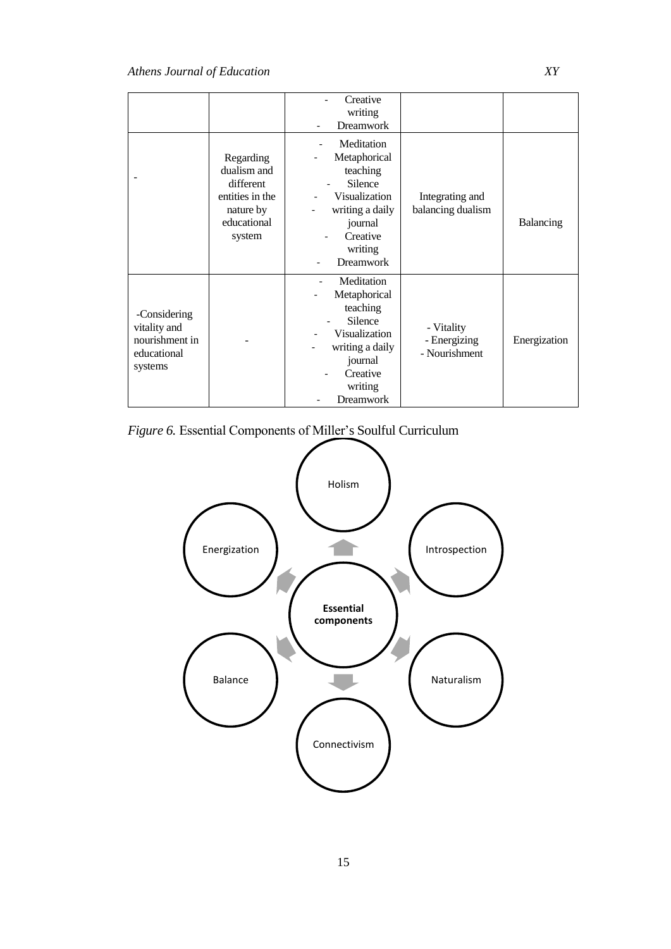|                                                                          |                                                                                                | Creative<br>writing<br><b>Dreamwork</b>                                                                                                     |                                             |              |
|--------------------------------------------------------------------------|------------------------------------------------------------------------------------------------|---------------------------------------------------------------------------------------------------------------------------------------------|---------------------------------------------|--------------|
|                                                                          | Regarding<br>dualism and<br>different<br>entities in the<br>nature by<br>educational<br>system | Meditation<br>Metaphorical<br>teaching<br>Silence<br>Visualization<br>writing a daily<br>journal<br>Creative<br>writing<br><b>Dreamwork</b> | Integrating and<br>balancing dualism        | Balancing    |
| -Considering<br>vitality and<br>nourishment in<br>educational<br>systems |                                                                                                | Meditation<br>Metaphorical<br>teaching<br>Silence<br>Visualization<br>writing a daily<br>journal<br>Creative<br>writing<br><b>Dreamwork</b> | - Vitality<br>- Energizing<br>- Nourishment | Energization |



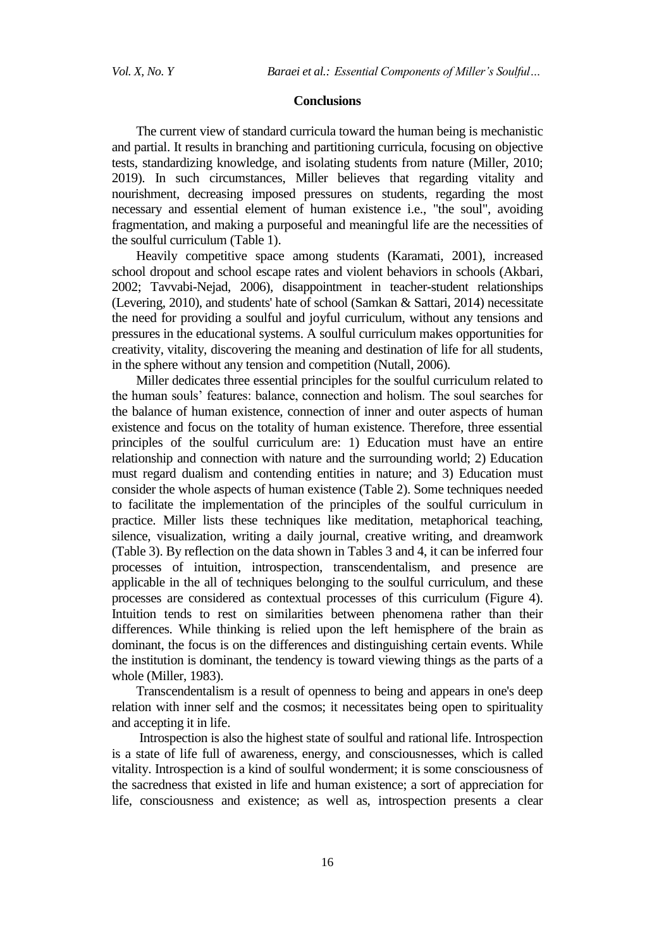#### **Conclusions**

The current view of standard curricula toward the human being is mechanistic and partial. It results in branching and partitioning curricula, focusing on objective tests, standardizing knowledge, and isolating students from nature (Miller, 2010; 2019). In such circumstances, Miller believes that regarding vitality and nourishment, decreasing imposed pressures on students, regarding the most necessary and essential element of human existence i.e., "the soul", avoiding fragmentation, and making a purposeful and meaningful life are the necessities of the soulful curriculum (Table 1).

Heavily competitive space among students (Karamati, 2001), increased school dropout and school escape rates and violent behaviors in schools (Akbari, 2002; Tavvabi-Nejad, 2006), disappointment in teacher-student relationships (Levering, 2010), and students' hate of school (Samkan & Sattari, 2014) necessitate the need for providing a soulful and joyful curriculum, without any tensions and pressures in the educational systems. A soulful curriculum makes opportunities for creativity, vitality, discovering the meaning and destination of life for all students, in the sphere without any tension and competition (Nutall, 2006).

Miller dedicates three essential principles for the soulful curriculum related to the human souls' features: balance, connection and holism. The soul searches for the balance of human existence, connection of inner and outer aspects of human existence and focus on the totality of human existence. Therefore, three essential principles of the soulful curriculum are: 1) Education must have an entire relationship and connection with nature and the surrounding world; 2) Education must regard dualism and contending entities in nature; and 3) Education must consider the whole aspects of human existence (Table 2). Some techniques needed to facilitate the implementation of the principles of the soulful curriculum in practice. Miller lists these techniques like meditation, metaphorical teaching, silence, visualization, writing a daily journal, creative writing, and dreamwork (Table 3). By reflection on the data shown in Tables 3 and 4, it can be inferred four processes of intuition, introspection, transcendentalism, and presence are applicable in the all of techniques belonging to the soulful curriculum, and these processes are considered as contextual processes of this curriculum (Figure 4). Intuition tends to rest on similarities between phenomena rather than their differences. While thinking is relied upon the left hemisphere of the brain as dominant, the focus is on the differences and distinguishing certain events. While the institution is dominant, the tendency is toward viewing things as the parts of a whole (Miller, 1983).

Transcendentalism is a result of openness to being and appears in one's deep relation with inner self and the cosmos; it necessitates being open to spirituality and accepting it in life.

Introspection is also the highest state of soulful and rational life. Introspection is a state of life full of awareness, energy, and consciousnesses, which is called vitality. Introspection is a kind of soulful wonderment; it is some consciousness of the sacredness that existed in life and human existence; a sort of appreciation for life, consciousness and existence; as well as, introspection presents a clear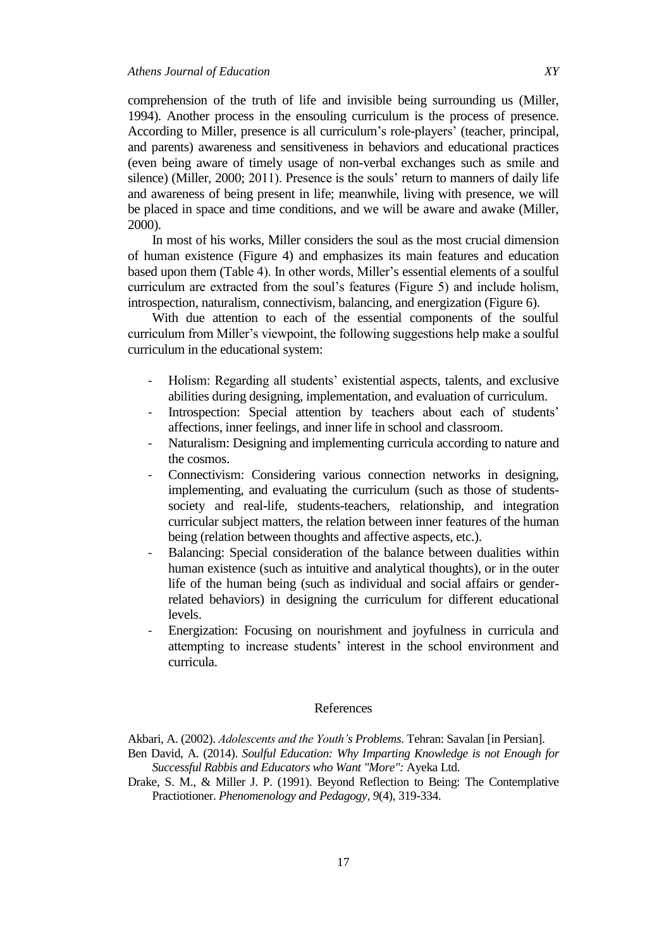comprehension of the truth of life and invisible being surrounding us (Miller, 1994). Another process in the ensouling curriculum is the process of presence. According to Miller, presence is all curriculum's role-players' (teacher, principal, and parents) awareness and sensitiveness in behaviors and educational practices (even being aware of timely usage of non-verbal exchanges such as smile and silence) (Miller, 2000; 2011). Presence is the souls' return to manners of daily life and awareness of being present in life; meanwhile, living with presence, we will be placed in space and time conditions, and we will be aware and awake (Miller, 2000).

In most of his works, Miller considers the soul as the most crucial dimension of human existence (Figure 4) and emphasizes its main features and education based upon them (Table 4). In other words, Miller's essential elements of a soulful curriculum are extracted from the soul's features (Figure 5) and include holism, introspection, naturalism, connectivism, balancing, and energization (Figure 6).

With due attention to each of the essential components of the soulful curriculum from Miller's viewpoint, the following suggestions help make a soulful curriculum in the educational system:

- Holism: Regarding all students' existential aspects, talents, and exclusive abilities during designing, implementation, and evaluation of curriculum.
- Introspection: Special attention by teachers about each of students' affections, inner feelings, and inner life in school and classroom.
- Naturalism: Designing and implementing curricula according to nature and the cosmos.
- Connectivism: Considering various connection networks in designing, implementing, and evaluating the curriculum (such as those of studentssociety and real-life, students-teachers, relationship, and integration curricular subject matters, the relation between inner features of the human being (relation between thoughts and affective aspects, etc.).
- Balancing: Special consideration of the balance between dualities within human existence (such as intuitive and analytical thoughts), or in the outer life of the human being (such as individual and social affairs or genderrelated behaviors) in designing the curriculum for different educational levels.
- Energization: Focusing on nourishment and joyfulness in curricula and attempting to increase students' interest in the school environment and curricula.

#### References

Akbari, A. (2002). *Adolescents and the Youth's Problems*. Tehran: Savalan [in Persian].

- Ben David, A. (2014). *Soulful Education: Why Imparting Knowledge is not Enough for Successful Rabbis and Educators who Want "More":* Ayeka Ltd.
- Drake, S. M., & Miller J. P. (1991). Beyond Reflection to Being: The Contemplative Practiotioner. *Phenomenology and Pedagogy, 9*(4), 319-334.